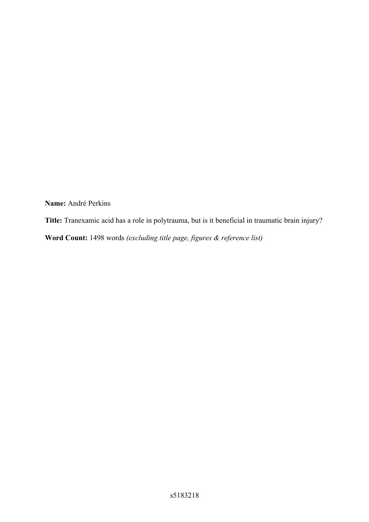**Name:** André Perkins

**Title:** Tranexamic acid has a role in polytrauma, but is it beneficial in traumatic brain injury?

**Word Count:** 1498 words *(excluding title page, figures & reference list)*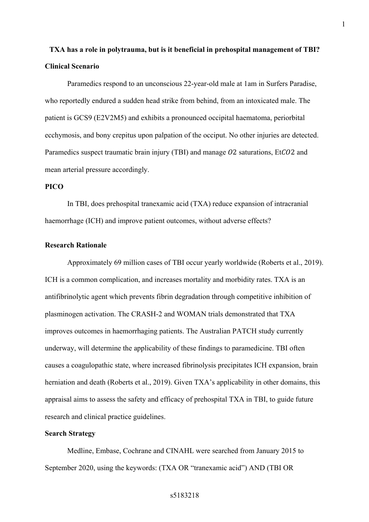# **TXA has a role in polytrauma, but is it beneficial in prehospital management of TBI? Clinical Scenario**

Paramedics respond to an unconscious 22-year-old male at 1am in Surfers Paradise, who reportedly endured a sudden head strike from behind, from an intoxicated male. The patient is GCS9 (E2V2M5) and exhibits a pronounced occipital haematoma, periorbital ecchymosis, and bony crepitus upon palpation of the occiput. No other injuries are detected. Paramedics suspect traumatic brain injury (TBI) and manage  $O2$  saturations, EtC $O2$  and mean arterial pressure accordingly.

## **PICO**

In TBI, does prehospital tranexamic acid (TXA) reduce expansion of intracranial haemorrhage (ICH) and improve patient outcomes, without adverse effects?

#### **Research Rationale**

Approximately 69 million cases of TBI occur yearly worldwide (Roberts et al., 2019). ICH is a common complication, and increases mortality and morbidity rates. TXA is an antifibrinolytic agent which prevents fibrin degradation through competitive inhibition of plasminogen activation. The CRASH-2 and WOMAN trials demonstrated that TXA improves outcomes in haemorrhaging patients. The Australian PATCH study currently underway, will determine the applicability of these findings to paramedicine. TBI often causes a coagulopathic state, where increased fibrinolysis precipitates ICH expansion, brain herniation and death (Roberts et al., 2019). Given TXA's applicability in other domains, this appraisal aims to assess the safety and efficacy of prehospital TXA in TBI, to guide future research and clinical practice guidelines.

### **Search Strategy**

Medline, Embase, Cochrane and CINAHL were searched from January 2015 to September 2020, using the keywords: (TXA OR "tranexamic acid") AND (TBI OR

1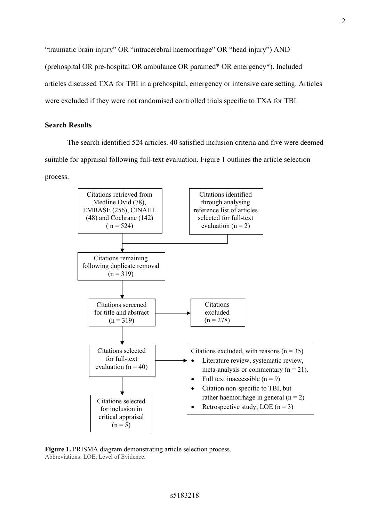"traumatic brain injury" OR "intracerebral haemorrhage" OR "head injury") AND (prehospital OR pre-hospital OR ambulance OR paramed\* OR emergency\*). Included articles discussed TXA for TBI in a prehospital, emergency or intensive care setting. Articles were excluded if they were not randomised controlled trials specific to TXA for TBI.

### **Search Results**

The search identified 524 articles. 40 satisfied inclusion criteria and five were deemed suitable for appraisal following full-text evaluation. Figure 1 outlines the article selection process.



**Figure 1.** PRISMA diagram demonstrating article selection process. Abbreviations: LOE; Level of Evidence.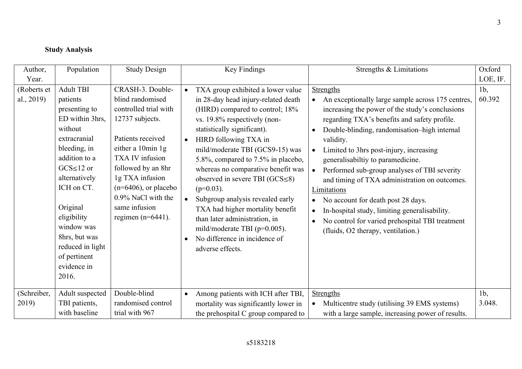## **Study Analysis**

| Author,                                  | Population                                                                                                                                                                                                                                                                                            | <b>Study Design</b>                                                                                                                                                                                                                                                                               |                                     | Key Findings                                                                                                                                                                                                                                                                                                                                                                                                                                                                                                                                                                 | Strengths & Limitations                                                                                                                                                                                                                                                                                                                                                                                                                                                                                                                                                                                                            | Oxford                     |
|------------------------------------------|-------------------------------------------------------------------------------------------------------------------------------------------------------------------------------------------------------------------------------------------------------------------------------------------------------|---------------------------------------------------------------------------------------------------------------------------------------------------------------------------------------------------------------------------------------------------------------------------------------------------|-------------------------------------|------------------------------------------------------------------------------------------------------------------------------------------------------------------------------------------------------------------------------------------------------------------------------------------------------------------------------------------------------------------------------------------------------------------------------------------------------------------------------------------------------------------------------------------------------------------------------|------------------------------------------------------------------------------------------------------------------------------------------------------------------------------------------------------------------------------------------------------------------------------------------------------------------------------------------------------------------------------------------------------------------------------------------------------------------------------------------------------------------------------------------------------------------------------------------------------------------------------------|----------------------------|
| Year.                                    |                                                                                                                                                                                                                                                                                                       |                                                                                                                                                                                                                                                                                                   |                                     |                                                                                                                                                                                                                                                                                                                                                                                                                                                                                                                                                                              |                                                                                                                                                                                                                                                                                                                                                                                                                                                                                                                                                                                                                                    | LOE, IF.                   |
| (Roberts et<br>al., 2019)<br>(Schreiber, | <b>Adult TBI</b><br>patients<br>presenting to<br>ED within 3hrs,<br>without<br>extracranial<br>bleeding, in<br>addition to a<br>$GCS \leq 12$ or<br>alternatively<br>ICH on CT.<br>Original<br>eligibility<br>window was<br>8hrs, but was<br>reduced in light<br>of pertinent<br>evidence in<br>2016. | CRASH-3. Double-<br>blind randomised<br>controlled trial with<br>12737 subjects.<br>Patients received<br>either a 10min 1g<br>TXA IV infusion<br>followed by an 8hr<br>1g TXA infusion<br>$(n=6406)$ , or placebo<br>0.9% NaCl with the<br>same infusion<br>regimen ( $n=6441$ ).<br>Double-blind | $\bullet$<br>$\bullet$<br>$\bullet$ | TXA group exhibited a lower value<br>in 28-day head injury-related death<br>(HIRD) compared to control; 18%<br>vs. 19.8% respectively (non-<br>statistically significant).<br>HIRD following TXA in<br>mild/moderate TBI (GCS9-15) was<br>5.8%, compared to 7.5% in placebo,<br>whereas no comparative benefit was<br>observed in severe TBI $(GCS \le 8)$<br>$(p=0.03)$ .<br>Subgroup analysis revealed early<br>TXA had higher mortality benefit<br>than later administration, in<br>mild/moderate TBI ( $p=0.005$ ).<br>No difference in incidence of<br>adverse effects. | <b>Strengths</b><br>An exceptionally large sample across 175 centres,<br>increasing the power of the study's conclusions<br>regarding TXA's benefits and safety profile.<br>Double-blinding, randomisation-high internal<br>validity.<br>Limited to 3hrs post-injury, increasing<br>generalisabiltiy to paramedicine.<br>Performed sub-group analyses of TBI severity<br>$\bullet$<br>and timing of TXA administration on outcomes.<br>Limitations<br>No account for death post 28 days.<br>In-hospital study, limiting generalisability.<br>No control for varied prehospital TBI treatment<br>(fluids, O2 therapy, ventilation.) | $1b$ ,<br>60.392<br>$1b$ , |
| 2019)                                    | Adult suspected<br>TBI patients,<br>with baseline                                                                                                                                                                                                                                                     | randomised control<br>trial with 967                                                                                                                                                                                                                                                              | $\bullet$                           | Among patients with ICH after TBI,<br>mortality was significantly lower in<br>the prehospital C group compared to                                                                                                                                                                                                                                                                                                                                                                                                                                                            | <b>Strengths</b><br>Multicentre study (utilising 39 EMS systems)<br>with a large sample, increasing power of results.                                                                                                                                                                                                                                                                                                                                                                                                                                                                                                              | 3.048.                     |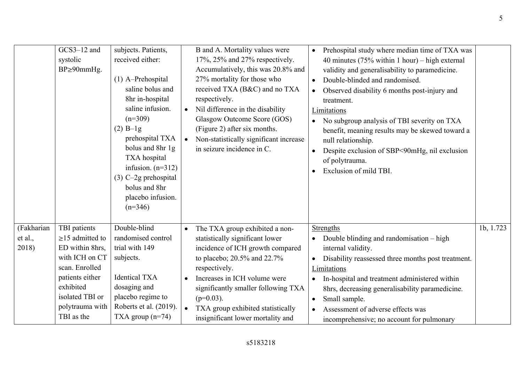|                                | GCS3-12 and<br>systolic<br>$BP \geq 90$ mm $Hg$ .                                                                                                                                | subjects. Patients,<br>received either:<br>$(1)$ A-Prehospital<br>saline bolus and<br>8hr in-hospital<br>saline infusion.<br>$(n=309)$<br>$(2)$ B-1g<br>prehospital TXA<br>bolus and 8hr 1g<br>TXA hospital<br>infusion. $(n=312)$<br>$(3)$ C-2g prehospital<br>bolus and 8hr<br>placebo infusion.<br>$(n=346)$ | B and A. Mortality values were<br>Prehospital study where median time of TXA was<br>$\bullet$<br>17%, 25% and 27% respectively.<br>40 minutes $(75\%$ within 1 hour) – high external<br>Accumulatively, this was 20.8% and<br>validity and generalisability to paramedicine.<br>27% mortality for those who<br>Double-blinded and randomised.<br>$\bullet$<br>received TXA (B&C) and no TXA<br>Observed disability 6 months post-injury and<br>$\bullet$<br>respectively.<br>treatment.<br>Nil difference in the disability<br>Limitations<br>Glasgow Outcome Score (GOS)<br>No subgroup analysis of TBI severity on TXA<br>(Figure 2) after six months.<br>benefit, meaning results may be skewed toward a<br>Non-statistically significant increase<br>$\bullet$<br>null relationship.<br>in seizure incidence in C.<br>Despite exclusion of SBP<90mHg, nil exclusion<br>$\bullet$<br>of polytrauma.<br>Exclusion of mild TBI. |           |
|--------------------------------|----------------------------------------------------------------------------------------------------------------------------------------------------------------------------------|-----------------------------------------------------------------------------------------------------------------------------------------------------------------------------------------------------------------------------------------------------------------------------------------------------------------|----------------------------------------------------------------------------------------------------------------------------------------------------------------------------------------------------------------------------------------------------------------------------------------------------------------------------------------------------------------------------------------------------------------------------------------------------------------------------------------------------------------------------------------------------------------------------------------------------------------------------------------------------------------------------------------------------------------------------------------------------------------------------------------------------------------------------------------------------------------------------------------------------------------------------------|-----------|
| (Fakharian<br>et al.,<br>2018) | TBI patients<br>$\geq$ 15 admitted to<br>ED within 8hrs,<br>with ICH on CT<br>scan. Enrolled<br>patients either<br>exhibited<br>isolated TBI or<br>polytrauma with<br>TBI as the | Double-blind<br>randomised control<br>trial with 149<br>subjects.<br><b>Identical TXA</b><br>dosaging and<br>placebo regime to<br>Roberts et al. (2019).<br>TXA group $(n=74)$                                                                                                                                  | The TXA group exhibited a non-<br>Strengths<br>$\bullet$<br>statistically significant lower<br>Double blinding and randomisation – high<br>$\bullet$<br>incidence of ICH growth compared<br>internal validity.<br>to placebo; $20.5\%$ and $22.7\%$<br>Disability reassessed three months post treatment.<br>$\bullet$<br>respectively.<br>Limitations<br>Increases in ICH volume were<br>In-hospital and treatment administered within<br>$\bullet$<br>significantly smaller following TXA<br>8hrs, decreasing generalisability paramedicine.<br>$(p=0.03)$ .<br>Small sample.<br>$\bullet$<br>TXA group exhibited statistically<br>Assessment of adverse effects was<br>$\bullet$<br>insignificant lower mortality and<br>incomprehensive; no account for pulmonary                                                                                                                                                            | 1b, 1.723 |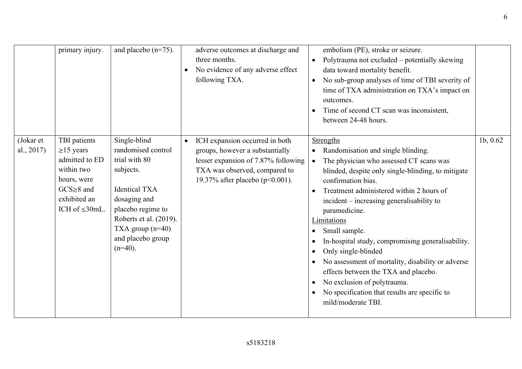6

|                         | primary injury.                                                                                                                            | and placebo $(n=75)$ .                                                                                                                                                                                           |           | adverse outcomes at discharge and<br>three months.<br>No evidence of any adverse effect<br>following TXA.                                                                    | $\bullet$<br>$\bullet$                                                               | embolism (PE), stroke or seizure.<br>Polytrauma not excluded – potentially skewing<br>data toward mortality benefit.<br>No sub-group analyses of time of TBI severity of<br>time of TXA administration on TXA's impact on<br>outcomes.<br>Time of second CT scan was inconsistent,<br>between 24-48 hours.                                                                                                                                                                                                                                                                                             |          |
|-------------------------|--------------------------------------------------------------------------------------------------------------------------------------------|------------------------------------------------------------------------------------------------------------------------------------------------------------------------------------------------------------------|-----------|------------------------------------------------------------------------------------------------------------------------------------------------------------------------------|--------------------------------------------------------------------------------------|--------------------------------------------------------------------------------------------------------------------------------------------------------------------------------------------------------------------------------------------------------------------------------------------------------------------------------------------------------------------------------------------------------------------------------------------------------------------------------------------------------------------------------------------------------------------------------------------------------|----------|
| (Jokar et<br>al., 2017) | TBI patients<br>$\geq$ 15 years<br>admitted to ED<br>within two<br>hours, were<br>$GCS \geq 8$ and<br>exhibited an<br>ICH of $\leq 30$ mL. | Single-blind<br>randomised control<br>trial with 80<br>subjects.<br><b>Identical TXA</b><br>dosaging and<br>placebo regime to<br>Roberts et al. (2019).<br>TXA group $(n=40)$<br>and placebo group<br>$(n=40)$ . | $\bullet$ | ICH expansion occurred in both<br>groups, however a substantially<br>lesser expansion of 7.87% following<br>TXA was observed, compared to<br>19.37% after placebo (p<0.001). | $\bullet$<br>$\bullet$<br>$\bullet$<br>$\bullet$<br>$\bullet$<br>٠<br>٠<br>$\bullet$ | <b>Strengths</b><br>Randomisation and single blinding.<br>The physician who assessed CT scans was<br>blinded, despite only single-blinding, to mitigate<br>confirmation bias.<br>Treatment administered within 2 hours of<br>incident – increasing generalisability to<br>paramedicine.<br>Limitations<br>Small sample.<br>In-hospital study, compromising generalisability.<br>Only single-blinded<br>No assessment of mortality, disability or adverse<br>effects between the TXA and placebo.<br>No exclusion of polytrauma.<br>No specification that results are specific to<br>mild/moderate TBI. | 1b, 0.62 |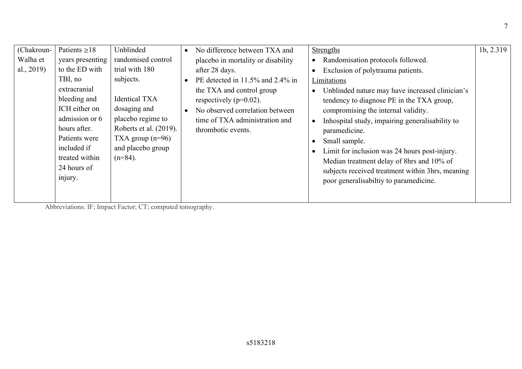| (Chakroun- | Patients $\geq 18$ | Unblinded              | $\bullet$ | No difference between TXA and      | <b>Strengths</b>                                 | 1b, 2.319 |
|------------|--------------------|------------------------|-----------|------------------------------------|--------------------------------------------------|-----------|
| Walha et   | years presenting   | randomised control     |           | placebo in mortality or disability | Randomisation protocols followed.<br>$\bullet$   |           |
| al., 2019) | to the ED with     | trial with 180         |           | after 28 days.                     | Exclusion of polytrauma patients.<br>$\bullet$   |           |
|            | TBI, no            | subjects.              | $\bullet$ | PE detected in 11.5% and 2.4% in   | Limitations                                      |           |
|            | extracranial       |                        |           | the TXA and control group          | Unblinded nature may have increased clinician's  |           |
|            | bleeding and       | <b>Identical TXA</b>   |           | respectively ( $p=0.02$ ).         | tendency to diagnose PE in the TXA group,        |           |
|            | ICH either on      | dosaging and           |           | No observed correlation between    | compromising the internal validity.              |           |
|            | admission or 6     | placebo regime to      |           | time of TXA administration and     | Inhospital study, impairing generalisability to  |           |
|            | hours after.       | Roberts et al. (2019). |           | thrombotic events.                 | paramedicine.                                    |           |
|            | Patients were      | TXA group $(n=96)$     |           |                                    | Small sample.                                    |           |
|            | included if        | and placebo group      |           |                                    | Limit for inclusion was 24 hours post-injury.    |           |
|            | treated within     | $(n=84)$ .             |           |                                    | Median treatment delay of 8hrs and 10% of        |           |
|            | 24 hours of        |                        |           |                                    | subjects received treatment within 3hrs, meaning |           |
|            | injury.            |                        |           |                                    | poor generalisabiltiy to paramedicine.           |           |
|            |                    |                        |           |                                    |                                                  |           |
|            |                    |                        |           |                                    |                                                  |           |

Abbreviations: IF; Impact Factor; CT; computed tomography.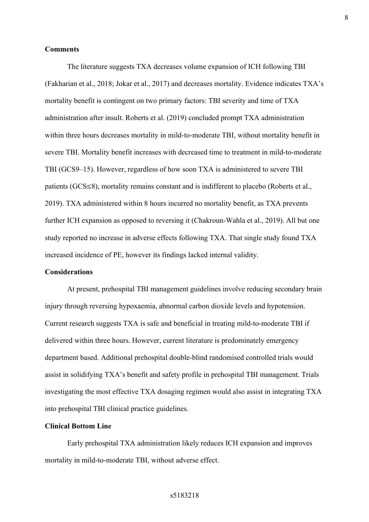#### **Comments**

The literature suggests TXA decreases volume expansion of ICH following TBI (Fakharian et al., 2018; Jokar et al., 2017) and decreases mortality. Evidence indicates TXA's mortality benefit is contingent on two primary factors: TBI severity and time of TXA administration after insult. Roberts et al. (2019) concluded prompt TXA administration within three hours decreases mortality in mild-to-moderate TBI, without mortality benefit in severe TBI. Mortality benefit increases with decreased time to treatment in mild-to-moderate TBI (GCS9–15). However, regardless of how soon TXA is administered to severe TBI patients (GCS≤8), mortality remains constant and is indifferent to placebo (Roberts et al., 2019). TXA administered within 8 hours incurred no mortality benefit, as TXA prevents further ICH expansion as opposed to reversing it (Chakroun-Wahla et al., 2019). All but one study reported no increase in adverse effects following TXA. That single study found TXA increased incidence of PE, however its findings lacked internal validity.

#### **Considerations**

At present, prehospital TBI management guidelines involve reducing secondary brain injury through reversing hypoxaemia, abnormal carbon dioxide levels and hypotension. Current research suggests TXA is safe and beneficial in treating mild-to-moderate TBI if delivered within three hours. However, current literature is predominately emergency department based. Additional prehospital double-blind randomised controlled trials would assist in solidifying TXA's benefit and safety profile in prehospital TBI management. Trials investigating the most effective TXA dosaging regimen would also assist in integrating TXA into prehospital TBI clinical practice guidelines.

## **Clinical Bottom Line**

Early prehospital TXA administration likely reduces ICH expansion and improves mortality in mild-to-moderate TBI, without adverse effect.

#### s5183218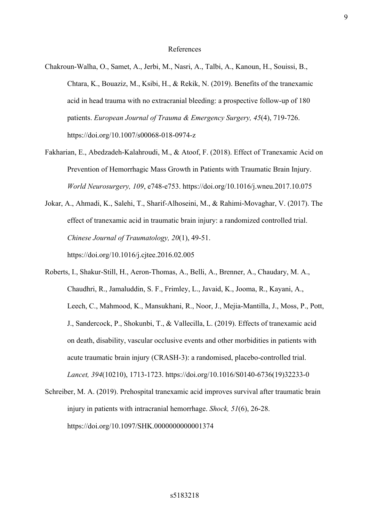#### References

- Chakroun-Walha, O., Samet, A., Jerbi, M., Nasri, A., Talbi, A., Kanoun, H., Souissi, B., Chtara, K., Bouaziz, M., Ksibi, H., & Rekik, N. (2019). Benefits of the tranexamic acid in head trauma with no extracranial bleeding: a prospective follow-up of 180 patients. *European Journal of Trauma & Emergency Surgery, 45*(4), 719-726. https://doi.org/10.1007/s00068-018-0974-z
- Fakharian, E., Abedzadeh-Kalahroudi, M., & Atoof, F. (2018). Effect of Tranexamic Acid on Prevention of Hemorrhagic Mass Growth in Patients with Traumatic Brain Injury. *World Neurosurgery, 109*, e748‐e753. https://doi.org/10.1016/j.wneu.2017.10.075
- Jokar, A., Ahmadi, K., Salehi, T., Sharif-Alhoseini, M., & Rahimi-Movaghar, V. (2017). The effect of tranexamic acid in traumatic brain injury: a randomized controlled trial. *Chinese Journal of Traumatology, 20*(1), 49‐51. https://doi.org/10.1016/j.cjtee.2016.02.005
- Roberts, I., Shakur-Still, H., Aeron-Thomas, A., Belli, A., Brenner, A., Chaudary, M. A., Chaudhri, R., Jamaluddin, S. F., Frimley, L., Javaid, K., Jooma, R., Kayani, A., Leech, C., Mahmood, K., Mansukhani, R., Noor, J., Mejia-Mantilla, J., Moss, P., Pott, J., Sandercock, P., Shokunbi, T., & Vallecilla, L. (2019). Effects of tranexamic acid on death, disability, vascular occlusive events and other morbidities in patients with acute traumatic brain injury (CRASH-3): a randomised, placebo-controlled trial. *Lancet, 394*(10210), 1713‐1723. https://doi.org/10.1016/S0140-6736(19)32233-0
- Schreiber, M. A. (2019). Prehospital tranexamic acid improves survival after traumatic brain injury in patients with intracranial hemorrhage. *Shock, 51*(6), 26‐28. https://doi.org/10.1097/SHK.0000000000001374

s5183218